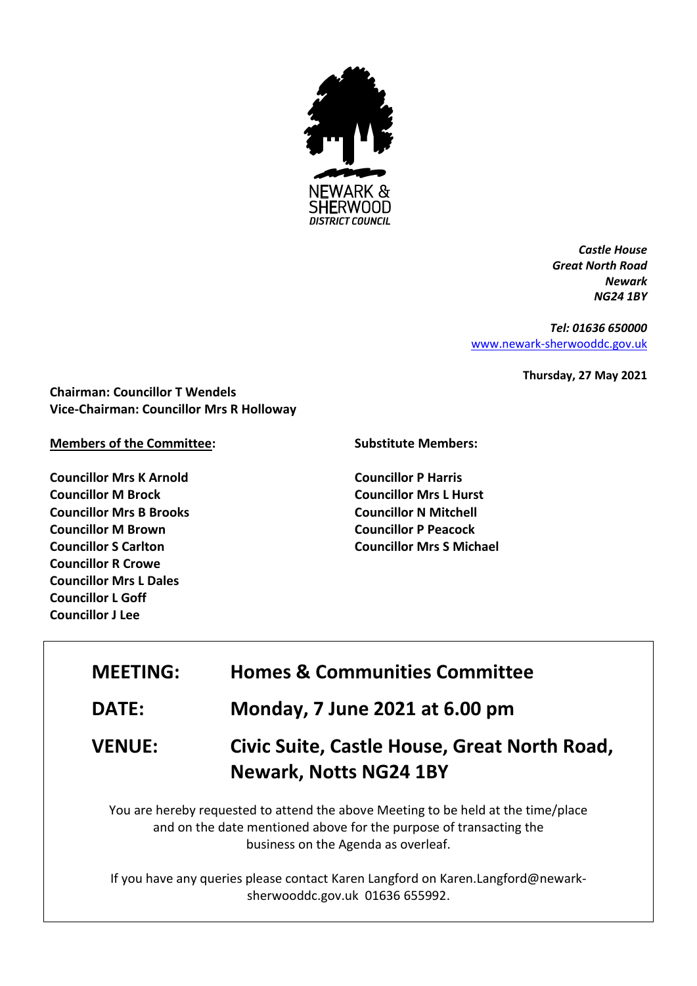

*Castle House Great North Road Newark NG24 1BY*

*Tel: 01636 650000* [www.newark-sherwooddc.gov.uk](http://www.newark-sherwooddc.gov.uk/)

**Thursday, 27 May 2021**

**Chairman: Councillor T Wendels Vice-Chairman: Councillor Mrs R Holloway**

### **Members of the Committee:**

**Councillor Mrs K Arnold Councillor M Brock Councillor Mrs B Brooks Councillor M Brown Councillor S Carlton Councillor R Crowe Councillor Mrs L Dales Councillor L Goff Councillor J Lee**

### **Substitute Members:**

**Councillor P Harris Councillor Mrs L Hurst Councillor N Mitchell Councillor P Peacock Councillor Mrs S Michael**

| <b>MEETING:</b> | <b>Homes &amp; Communities Committee</b>                                                                                                                                                       |
|-----------------|------------------------------------------------------------------------------------------------------------------------------------------------------------------------------------------------|
| <b>DATE:</b>    | Monday, 7 June 2021 at 6.00 pm                                                                                                                                                                 |
| <b>VENUE:</b>   | Civic Suite, Castle House, Great North Road,<br><b>Newark, Notts NG24 1BY</b>                                                                                                                  |
|                 | You are hereby requested to attend the above Meeting to be held at the time/place<br>and on the date mentioned above for the purpose of transacting the<br>business on the Agenda as overleaf. |

If you have any queries please contact Karen Langford on Karen.Langford@newarksherwooddc.gov.uk 01636 655992.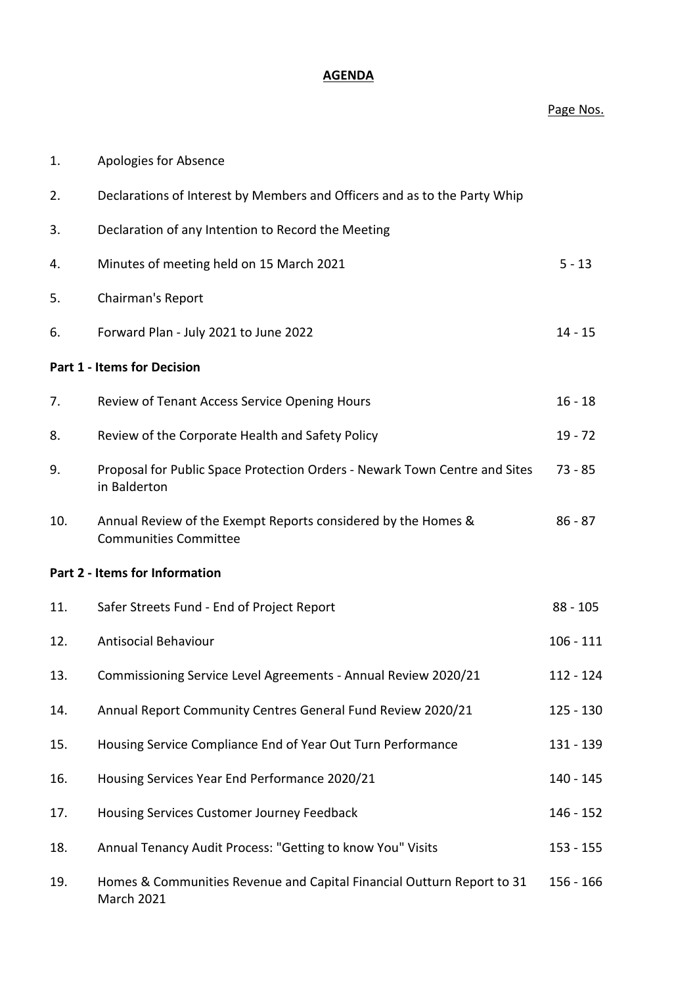# **AGENDA**

### Page Nos.

| 1.  | Apologies for Absence                                                                         |             |
|-----|-----------------------------------------------------------------------------------------------|-------------|
| 2.  | Declarations of Interest by Members and Officers and as to the Party Whip                     |             |
| 3.  | Declaration of any Intention to Record the Meeting                                            |             |
| 4.  | Minutes of meeting held on 15 March 2021                                                      | $5 - 13$    |
| 5.  | Chairman's Report                                                                             |             |
| 6.  | Forward Plan - July 2021 to June 2022                                                         | $14 - 15$   |
|     | <b>Part 1 - Items for Decision</b>                                                            |             |
| 7.  | Review of Tenant Access Service Opening Hours                                                 | $16 - 18$   |
| 8.  | Review of the Corporate Health and Safety Policy                                              | $19 - 72$   |
| 9.  | Proposal for Public Space Protection Orders - Newark Town Centre and Sites<br>in Balderton    | $73 - 85$   |
| 10. | Annual Review of the Exempt Reports considered by the Homes &<br><b>Communities Committee</b> | $86 - 87$   |
|     | Part 2 - Items for Information                                                                |             |
| 11. | Safer Streets Fund - End of Project Report                                                    | $88 - 105$  |
| 12. | <b>Antisocial Behaviour</b>                                                                   | $106 - 111$ |
| 13. | Commissioning Service Level Agreements - Annual Review 2020/21                                | 112 - 124   |
| 14. | Annual Report Community Centres General Fund Review 2020/21                                   | $125 - 130$ |
| 15. | Housing Service Compliance End of Year Out Turn Performance                                   | 131 - 139   |
| 16. | Housing Services Year End Performance 2020/21                                                 | 140 - 145   |
| 17. | Housing Services Customer Journey Feedback                                                    | $146 - 152$ |
| 18. | Annual Tenancy Audit Process: "Getting to know You" Visits                                    | $153 - 155$ |
| 19. | Homes & Communities Revenue and Capital Financial Outturn Report to 31<br>March 2021          | $156 - 166$ |